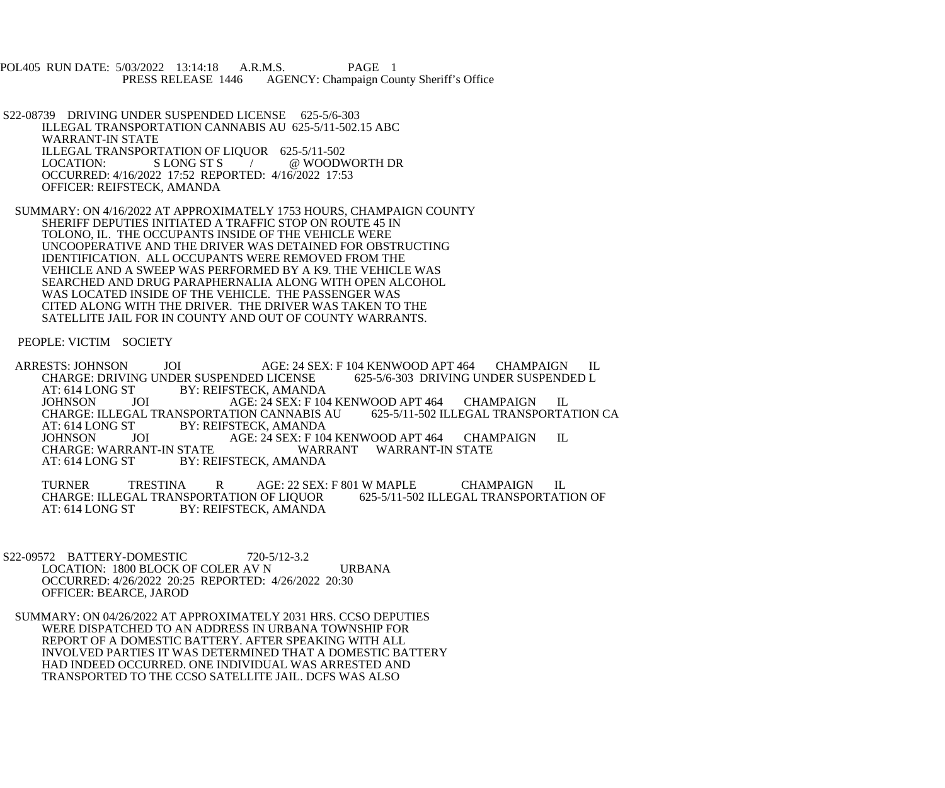POL405 RUN DATE: 5/03/2022 13:14:18 A.R.M.S. PAGE 1<br>PRESS RELEASE 1446 AGENCY: Champaign Cou AGENCY: Champaign County Sheriff's Office

 S22-08739 DRIVING UNDER SUSPENDED LICENSE 625-5/6-303 ILLEGAL TRANSPORTATION CANNABIS AU 625-5/11-502.15 ABC WARRANT-IN STATE ILLEGAL TRANSPORTATION OF LIQUOR 625-5/11-502<br>LOCATION: SLONG ST S / @ WOODV @ WOODWORTH DR OCCURRED: 4/16/2022 17:52 REPORTED: 4/16/2022 17:53 OFFICER: REIFSTECK, AMANDA

 SUMMARY: ON 4/16/2022 AT APPROXIMATELY 1753 HOURS, CHAMPAIGN COUNTY SHERIFF DEPUTIES INITIATED A TRAFFIC STOP ON ROUTE 45 IN TOLONO, IL. THE OCCUPANTS INSIDE OF THE VEHICLE WERE UNCOOPERATIVE AND THE DRIVER WAS DETAINED FOR OBSTRUCTING IDENTIFICATION. ALL OCCUPANTS WERE REMOVED FROM THE VEHICLE AND A SWEEP WAS PERFORMED BY A K9. THE VEHICLE WAS SEARCHED AND DRUG PARAPHERNALIA ALONG WITH OPEN ALCOHOL WAS LOCATED INSIDE OF THE VEHICLE. THE PASSENGER WAS CITED ALONG WITH THE DRIVER. THE DRIVER WAS TAKEN TO THE SATELLITE JAIL FOR IN COUNTY AND OUT OF COUNTY WARRANTS.

PEOPLE: VICTIM SOCIETY

ARRESTS: JOHNSON JOI AGE: 24 SEX: F 104 KENWOOD APT 464 CHAMPAIGN IL CHARGE: DRIVING UNDER SUSPENDED L CHARGE: DRIVING UNDER SUSPENDED LICENSE<br>AT: 614 LONG ST BY: REIFSTECK. AMAND. BY: REIFSTECK, AMANDA JOHNSON JOI AGE: 24 SEX: F 104 KENWOOD APT 464 CHAMPAIGN IL<br>CHARGE: ILLEGAL TRANSPORTATION CANNABIS AU 625-5/11-502 ILLEGAL TRANSPORTATION CA CHARGE: ILLEGAL TRANSPORTATION CANNABIS AU AT: 614 LONG ST BY: REIFSTECK, AMANDA AT: 614 LONG ST BY: REIFSTECK, AMANDA<br>JOHNSON JOI AGE: 24 SEX: F 104 AGE: 24 SEX: F 104 KENWOOD APT 464 CHAMPAIGN IL<br>WARRANT WARRANT-IN STATE CHARGE: WARRANT-IN STATE AT: 614 LONG ST BY: REIFSTECK, AMANDA

TURNER TRESTINA R AGE: 22 SEX: F 801 W MAPLE CHAMPAIGN IL<br>CHARGE: ILLEGAL TRANSPORTATION OF LIQUOR 625-5/11-502 ILLEGAL TRANSPORTATION OF CHARGE: ILLEGAL TRANSPORTATION OF LIQUOR<br>AT: 614 LONG ST BY: REIFSTECK, AMANDA BY: REIFSTECK, AMANDA

 S22-09572 BATTERY-DOMESTIC 720-5/12-3.2 LOCATION: 1800 BLOCK OF COLER AV N URBANA OCCURRED: 4/26/2022 20:25 REPORTED: 4/26/2022 20:30 OFFICER: BEARCE, JAROD

 SUMMARY: ON 04/26/2022 AT APPROXIMATELY 2031 HRS. CCSO DEPUTIES WERE DISPATCHED TO AN ADDRESS IN URBANA TOWNSHIP FOR REPORT OF A DOMESTIC BATTERY. AFTER SPEAKING WITH ALL INVOLVED PARTIES IT WAS DETERMINED THAT A DOMESTIC BATTERY HAD INDEED OCCURRED. ONE INDIVIDUAL WAS ARRESTED AND TRANSPORTED TO THE CCSO SATELLITE JAIL. DCFS WAS ALSO